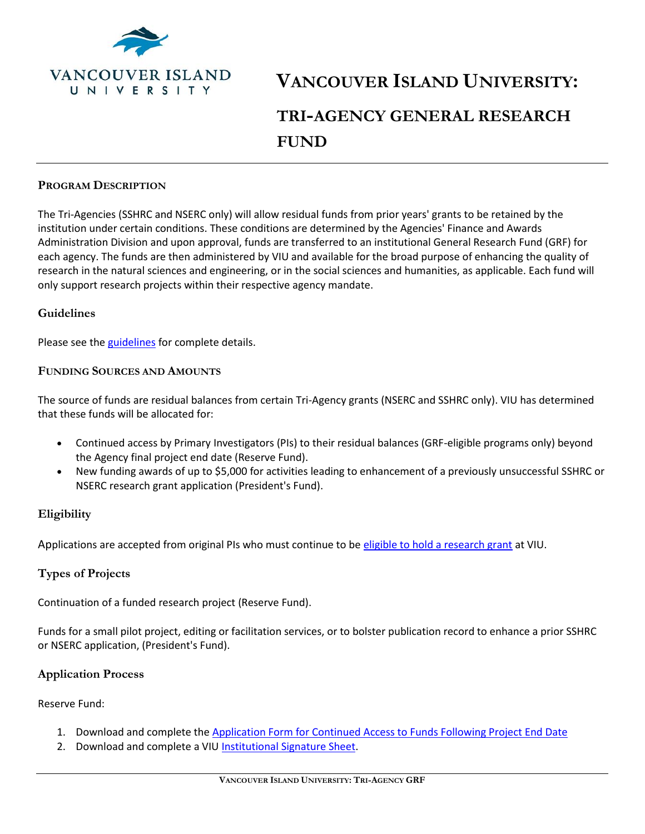

# **VANCOUVER ISLAND UNIVERSITY: TRI-AGENCY GENERAL RESEARCH**

**FUND**

#### **PROGRAM DESCRIPTION**

The Tri-Agencies (SSHRC and NSERC only) will allow residual funds from prior years' grants to be retained by the institution under certain conditions. These conditions are determined by the Agencies' Finance and Awards Administration Division and upon approval, funds are transferred to an institutional General Research Fund (GRF) for each agency. The funds are then administered by VIU and available for the broad purpose of enhancing the quality of research in the natural sciences and engineering, or in the social sciences and humanities, as applicable. Each fund will only support research projects within their respective agency mandate.

#### **Guidelines**

Please see the [guidelines](https://isapp.viu.ca/VIUWEB/commViewer/docshow.asp?doc_id=30253) for complete details.

#### **FUNDING SOURCES AND AMOUNTS**

The source of funds are residual balances from certain Tri-Agency grants (NSERC and SSHRC only). VIU has determined that these funds will be allocated for:

- Continued access by Primary Investigators (PIs) to their residual balances (GRF-eligible programs only) beyond the Agency final project end date (Reserve Fund).
- New funding awards of up to \$5,000 for activities leading to enhancement of a previously unsuccessful SSHRC or NSERC research grant application (President's Fund).

#### **Eligibility**

Applications are accepted from original PIs who must continue to be [eligible to hold a research grant](https://isapp.viu.ca/VIUWEB/commViewer/docshow.asp?doc_id=27096) at VIU.

# **Types of Projects**

Continuation of a funded research project (Reserve Fund).

Funds for a small pilot project, editing or facilitation services, or to bolster publication record to enhance a prior SSHRC or NSERC application, (President's Fund).

# **Application Process**

Reserve Fund:

- 1. Download and complete th[e Application Form for Continued Access to Funds Following Project End Date](https://isapp.viu.ca/VIUWEB/commViewer/docshow.asp?doc_id=29685)
- 2. Download and complete a VIU [Institutional Signature Sheet.](https://isapp.viu.ca/VIUWEB/commViewer/docshow.asp?doc_id=23217)